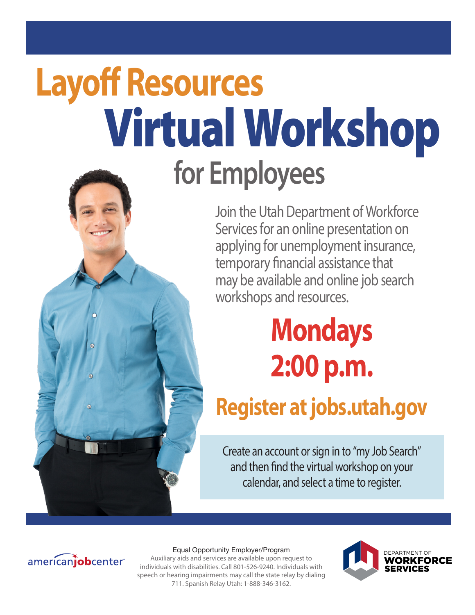# Virtual Workshop **for Employees Layoff Resources**



## **Mondays 2:00 p.m.**

### **Register at jobs.utah.gov**

Create an account or sign in to "my Job Search" and then find the virtual workshop on your calendar, and select a time to register.



#### Equal Opportunity Employer/Program

Auxiliary aids and services are available upon request to individuals with disabilities. Call 801-526-9240. Individuals with speech or hearing impairments may call the state relay by dialing 711. Spanish Relay Utah: 1-888-346-3162.

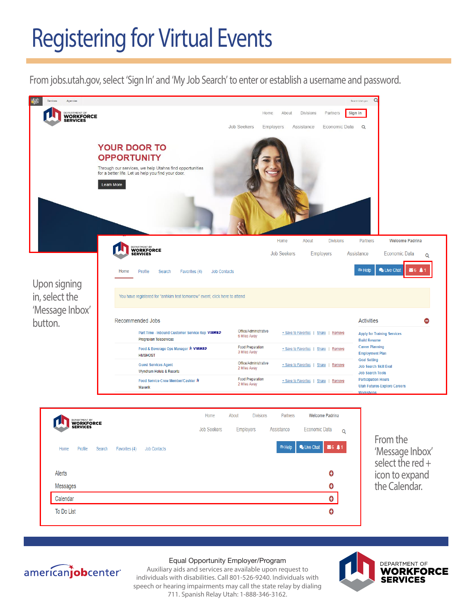### Registering for Virtual Events

From jobs.utah.gov, select 'Sign In' and 'My Job Search' to enter or establish a username and password. From jobs.utah.gov, select 'Sign In' and 'My Job Search' to enter or establish a username and password.

From jobs.utah.gov, select 'Sign In' and 'My Job Search' to enter or establish a username and password.





From the 'Message Inbox' select the red + icon to expand the Calendar.



#### Equal Opportunity Employer/Program

**AUXILIAR CALENDARY** Auxiliary aids and services are available upon request to individuals with disabilities. Call 801-526-9240. Individuals with speech or hearing impairments may call the state relay by dialing 711. Spanish Relay Utah: 1-888-346-3162.